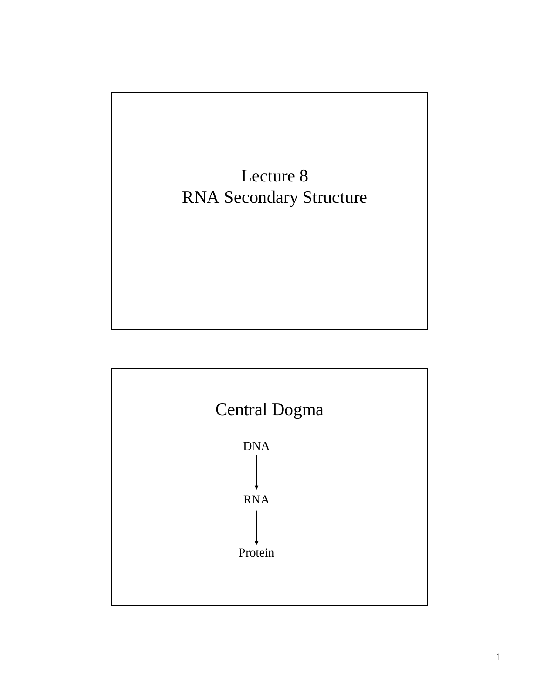

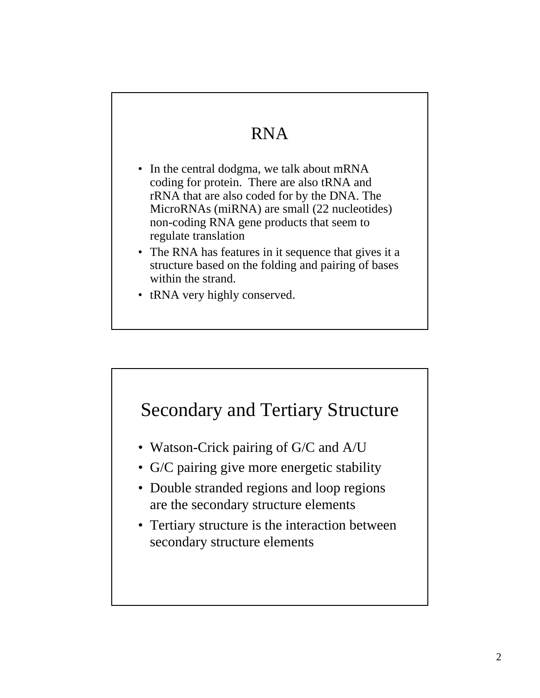### RNA

- In the central dodgma, we talk about mRNA coding for protein. There are also tRNA and rRNA that are also coded for by the DNA. The MicroRNAs (miRNA) are small (22 nucleotides) non-coding RNA gene products that seem to regulate translation
- The RNA has features in it sequence that gives it a structure based on the folding and pairing of bases within the strand.
- tRNA very highly conserved.

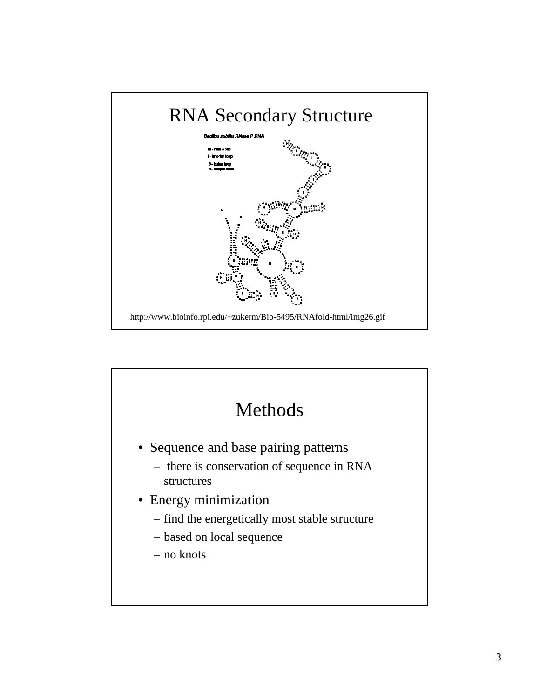

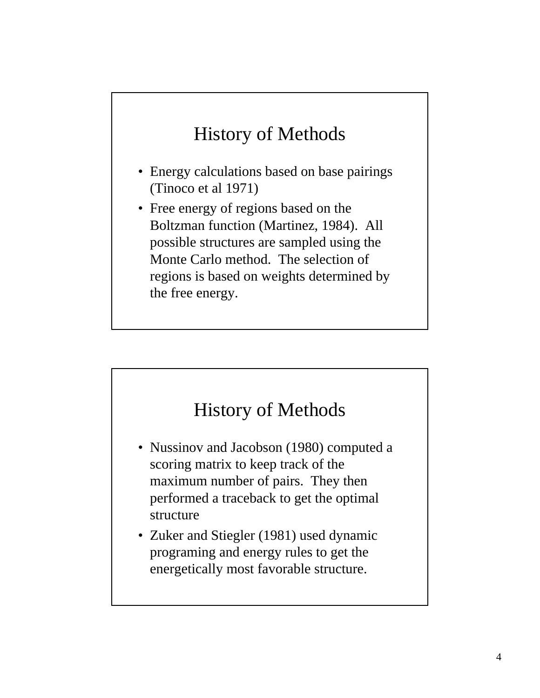## History of Methods

- Energy calculations based on base pairings (Tinoco et al 1971)
- Free energy of regions based on the Boltzman function (Martinez, 1984). All possible structures are sampled using the Monte Carlo method. The selection of regions is based on weights determined by the free energy.

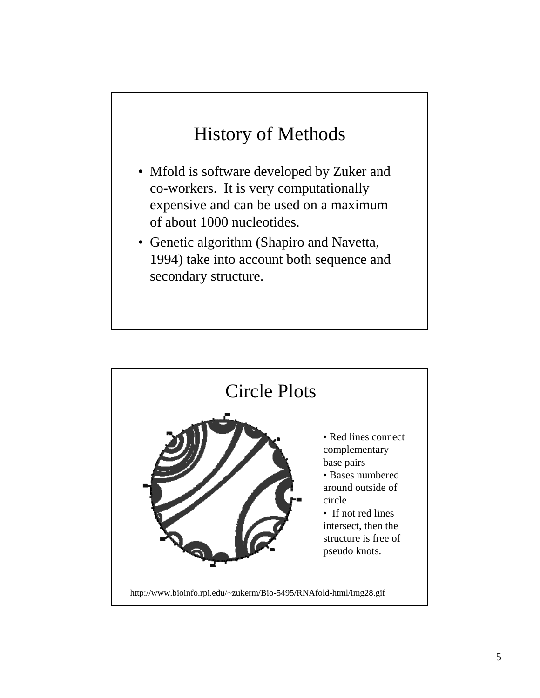## History of Methods

- Mfold is software developed by Zuker and co-workers. It is very computationally expensive and can be used on a maximum of about 1000 nucleotides.
- Genetic algorithm (Shapiro and Navetta, 1994) take into account both sequence and secondary structure.

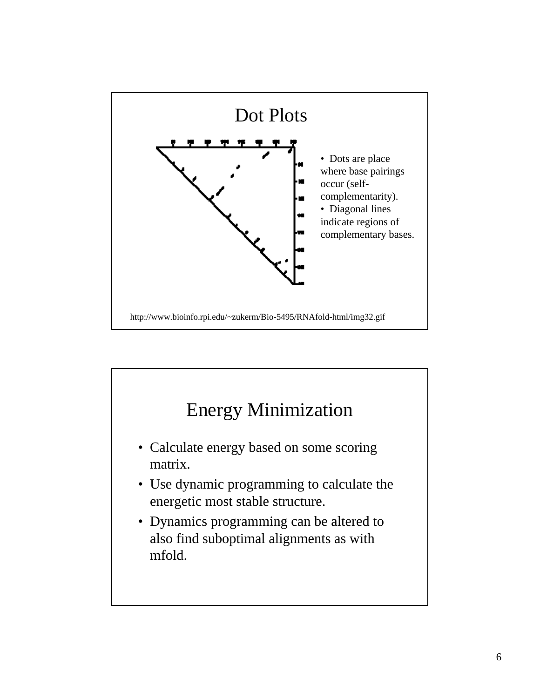

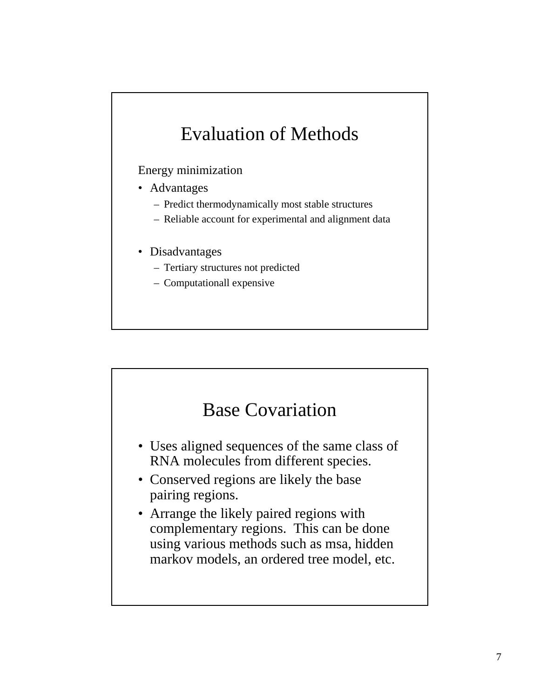## Evaluation of Methods

#### Energy minimization

- Advantages
	- Predict thermodynamically most stable structures
	- Reliable account for experimental and alignment data
- Disadvantages
	- Tertiary structures not predicted
	- Computationall expensive



- Uses aligned sequences of the same class of RNA molecules from different species.
- Conserved regions are likely the base pairing regions.
- Arrange the likely paired regions with complementary regions. This can be done using various methods such as msa, hidden markov models, an ordered tree model, etc.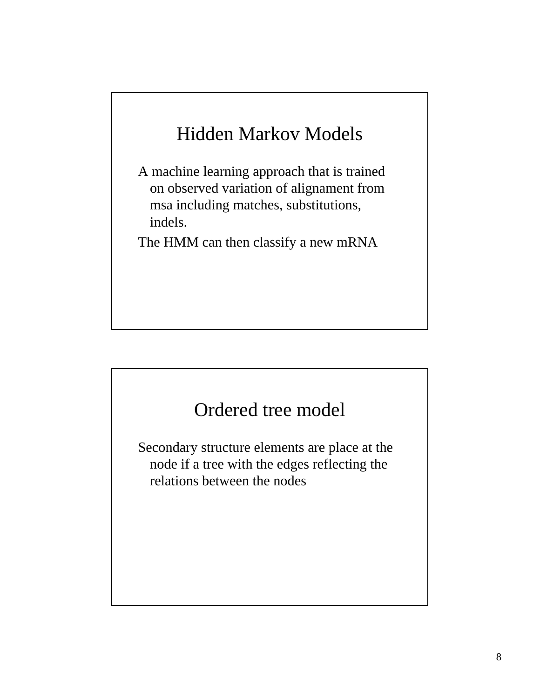# Hidden Markov Models

A machine learning approach that is trained on observed variation of alignament from msa including matches, substitutions, indels.

The HMM can then classify a new mRNA

#### Ordered tree model

Secondary structure elements are place at the node if a tree with the edges reflecting the relations between the nodes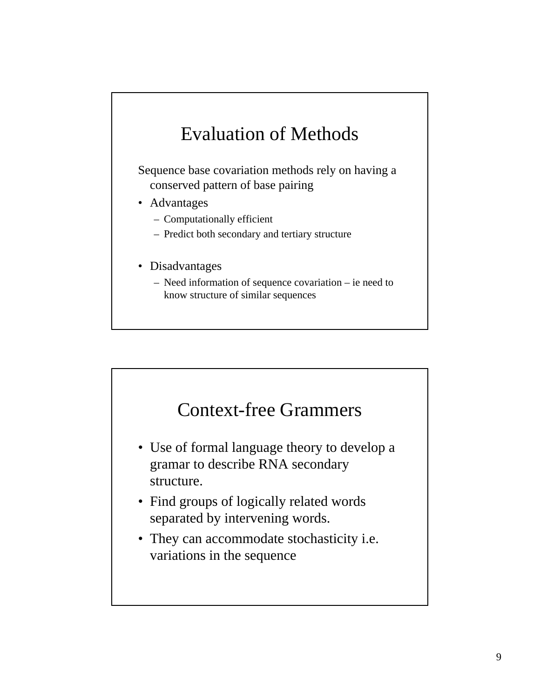## Evaluation of Methods

Sequence base covariation methods rely on having a conserved pattern of base pairing

- Advantages
	- Computationally efficient
	- Predict both secondary and tertiary structure
- Disadvantages
	- Need information of sequence covariation ie need to know structure of similar sequences



- Use of formal language theory to develop a gramar to describe RNA secondary structure.
- Find groups of logically related words separated by intervening words.
- They can accommodate stochasticity i.e. variations in the sequence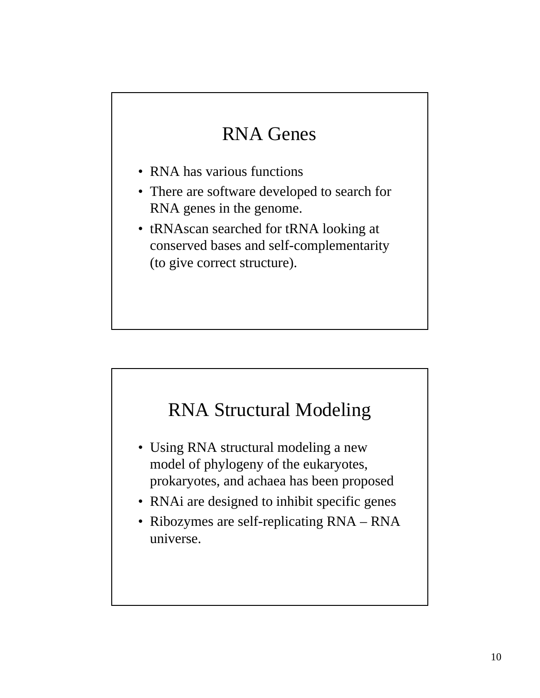## RNA Genes

- RNA has various functions
- There are software developed to search for RNA genes in the genome.
- tRNAscan searched for tRNA looking at conserved bases and self-complementarity (to give correct structure).



- Using RNA structural modeling a new model of phylogeny of the eukaryotes, prokaryotes, and achaea has been proposed
- RNAi are designed to inhibit specific genes
- Ribozymes are self-replicating RNA RNA universe.